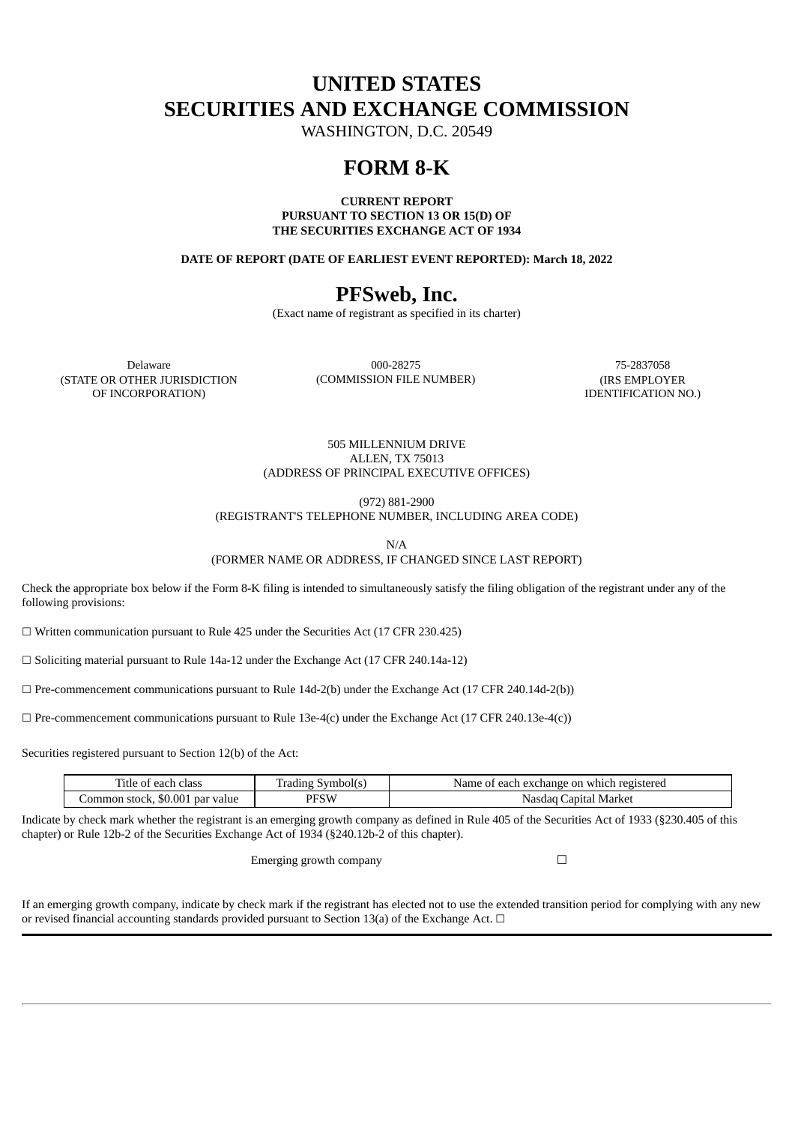# **UNITED STATES SECURITIES AND EXCHANGE COMMISSION**

WASHINGTON, D.C. 20549

## **FORM 8-K**

**CURRENT REPORT PURSUANT TO SECTION 13 OR 15(D) OF THE SECURITIES EXCHANGE ACT OF 1934**

**DATE OF REPORT (DATE OF EARLIEST EVENT REPORTED): March 18, 2022**

# **PFSweb, Inc.**

(Exact name of registrant as specified in its charter)

(STATE OR OTHER JURISDICTION OF INCORPORATION)

Delaware 000-28275 75-2837058 (COMMISSION FILE NUMBER) (IRS EMPLOYER

IDENTIFICATION NO.)

505 MILLENNIUM DRIVE ALLEN, TX 75013 (ADDRESS OF PRINCIPAL EXECUTIVE OFFICES)

(972) 881-2900

(REGISTRANT'S TELEPHONE NUMBER, INCLUDING AREA CODE)

N/A

(FORMER NAME OR ADDRESS, IF CHANGED SINCE LAST REPORT)

Check the appropriate box below if the Form 8-K filing is intended to simultaneously satisfy the filing obligation of the registrant under any of the following provisions:

 $\Box$  Written communication pursuant to Rule 425 under the Securities Act (17 CFR 230.425)

☐ Soliciting material pursuant to Rule 14a-12 under the Exchange Act (17 CFR 240.14a-12)

 $\Box$  Pre-commencement communications pursuant to Rule 14d-2(b) under the Exchange Act (17 CFR 240.14d-2(b))

 $\Box$  Pre-commencement communications pursuant to Rule 13e-4(c) under the Exchange Act (17 CFR 240.13e-4(c))

Securities registered pursuant to Section 12(b) of the Act:

| Title of each class             | Symbolls<br>radıng | Name of each exchange on which registered |
|---------------------------------|--------------------|-------------------------------------------|
| Common stock, \$0.001 par value | PFSW               | Nasdag Capital Market                     |

Indicate by check mark whether the registrant is an emerging growth company as defined in Rule 405 of the Securities Act of 1933 (§230.405 of this chapter) or Rule 12b-2 of the Securities Exchange Act of 1934 (§240.12b-2 of this chapter).

Emerging growth company  $\Box$ 

If an emerging growth company, indicate by check mark if the registrant has elected not to use the extended transition period for complying with any new or revised financial accounting standards provided pursuant to Section 13(a) of the Exchange Act.  $\Box$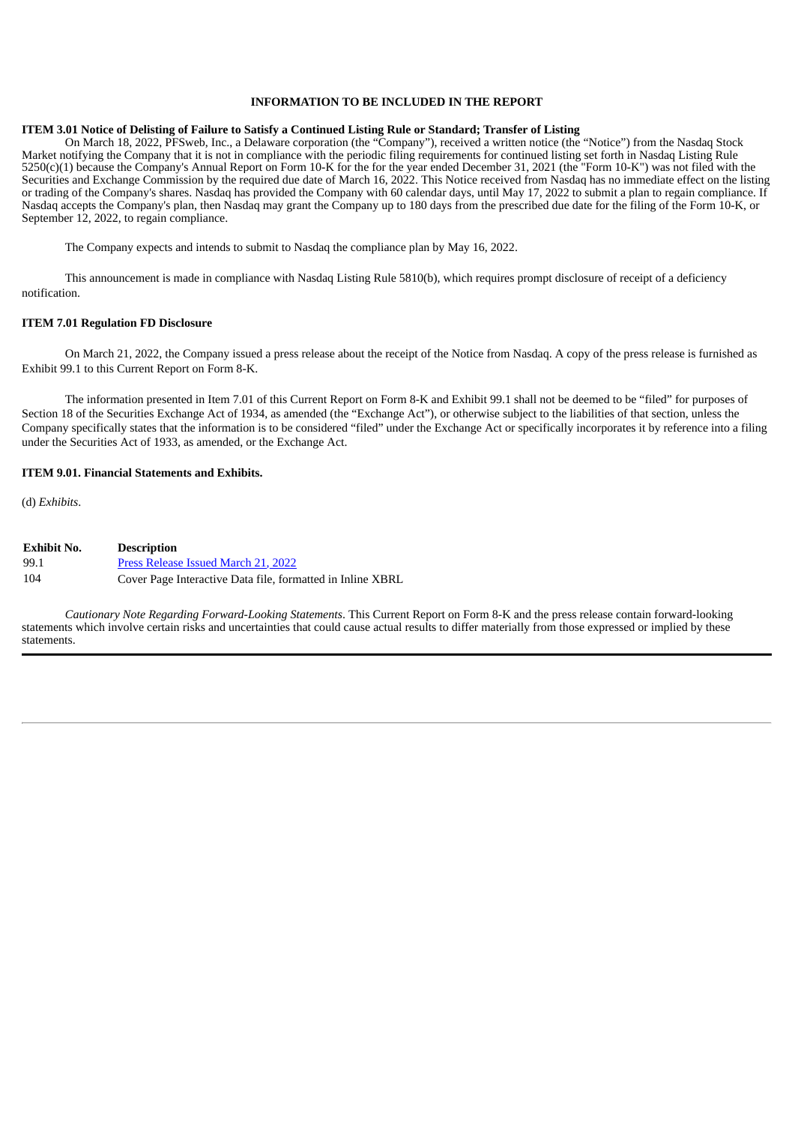### **INFORMATION TO BE INCLUDED IN THE REPORT**

#### ITEM 3.01 Notice of Delisting of Failure to Satisfy a Continued Listing Rule or Standard; Transfer of Listing

On March 18, 2022, PFSweb, Inc., a Delaware corporation (the "Company"), received a written notice (the "Notice") from the Nasdaq Stock Market notifying the Company that it is not in compliance with the periodic filing requirements for continued listing set forth in Nasdaq Listing Rule 5250(c)(1) because the Company's Annual Report on Form 10-K for the for the year ended December 31, 2021 (the "Form 10-K") was not filed with the Securities and Exchange Commission by the required due date of March 16, 2022. This Notice received from Nasdaq has no immediate effect on the listing or trading of the Company's shares. Nasdaq has provided the Company with 60 calendar days, until May 17, 2022 to submit a plan to regain compliance. If Nasdaq accepts the Company's plan, then Nasdaq may grant the Company up to 180 days from the prescribed due date for the filing of the Form 10-K, or September 12, 2022, to regain compliance.

The Company expects and intends to submit to Nasdaq the compliance plan by May 16, 2022.

This announcement is made in compliance with Nasdaq Listing Rule 5810(b), which requires prompt disclosure of receipt of a deficiency notification.

#### **ITEM 7.01 Regulation FD Disclosure**

On March 21, 2022, the Company issued a press release about the receipt of the Notice from Nasdaq. A copy of the press release is furnished as Exhibit 99.1 to this Current Report on Form 8-K.

The information presented in Item 7.01 of this Current Report on Form 8-K and Exhibit 99.1 shall not be deemed to be "filed" for purposes of Section 18 of the Securities Exchange Act of 1934, as amended (the "Exchange Act"), or otherwise subject to the liabilities of that section, unless the Company specifically states that the information is to be considered "filed" under the Exchange Act or specifically incorporates it by reference into a filing under the Securities Act of 1933, as amended, or the Exchange Act.

#### **ITEM 9.01. Financial Statements and Exhibits.**

(d) *Exhibits*.

| <b>Exhibit No.</b> | <b>Description</b>                                         |
|--------------------|------------------------------------------------------------|
| 99.1               | Press Release Issued March 21, 2022                        |
| 104                | Cover Page Interactive Data file, formatted in Inline XBRL |

*Cautionary Note Regarding Forward-Looking Statements*. This Current Report on Form 8-K and the press release contain forward-looking statements which involve certain risks and uncertainties that could cause actual results to differ materially from those expressed or implied by these statements.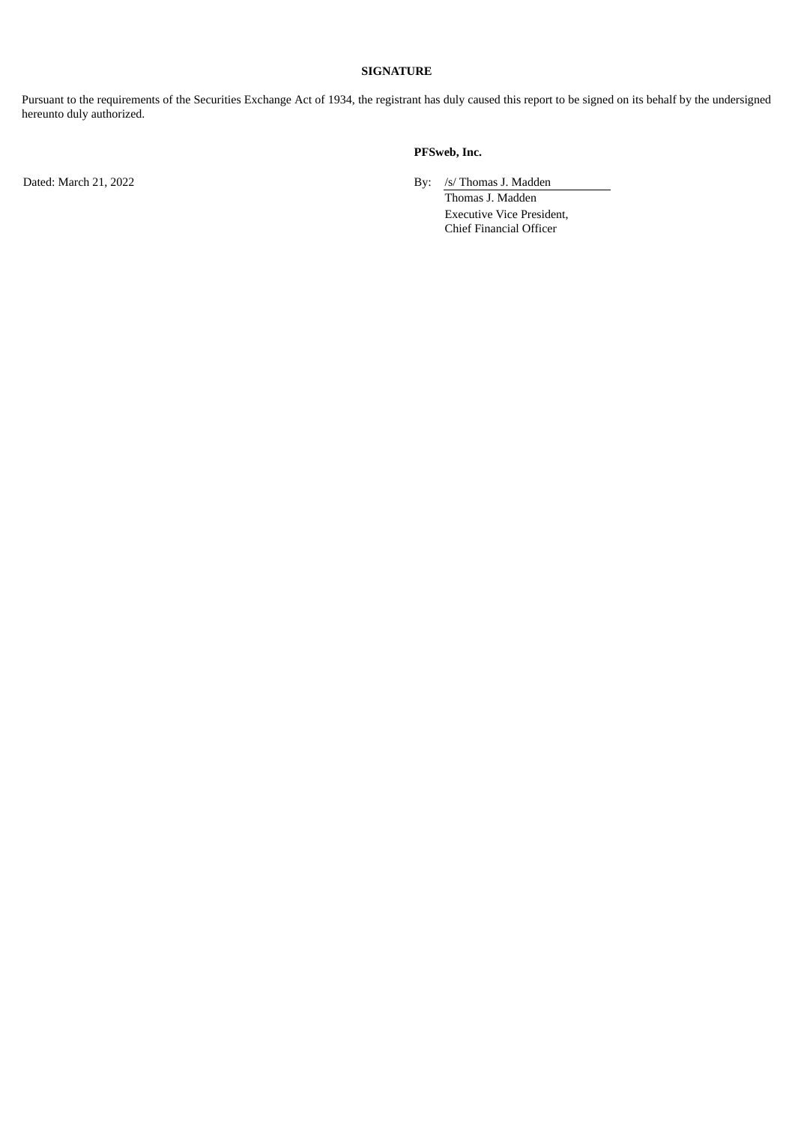#### **SIGNATURE**

Pursuant to the requirements of the Securities Exchange Act of 1934, the registrant has duly caused this report to be signed on its behalf by the undersigned hereunto duly authorized.

### **PFSweb, Inc.**

Dated: March 21, 2022 **By:** /s/ Thomas J. Madden

Thomas J. Madden Executive Vice President, Chief Financial Officer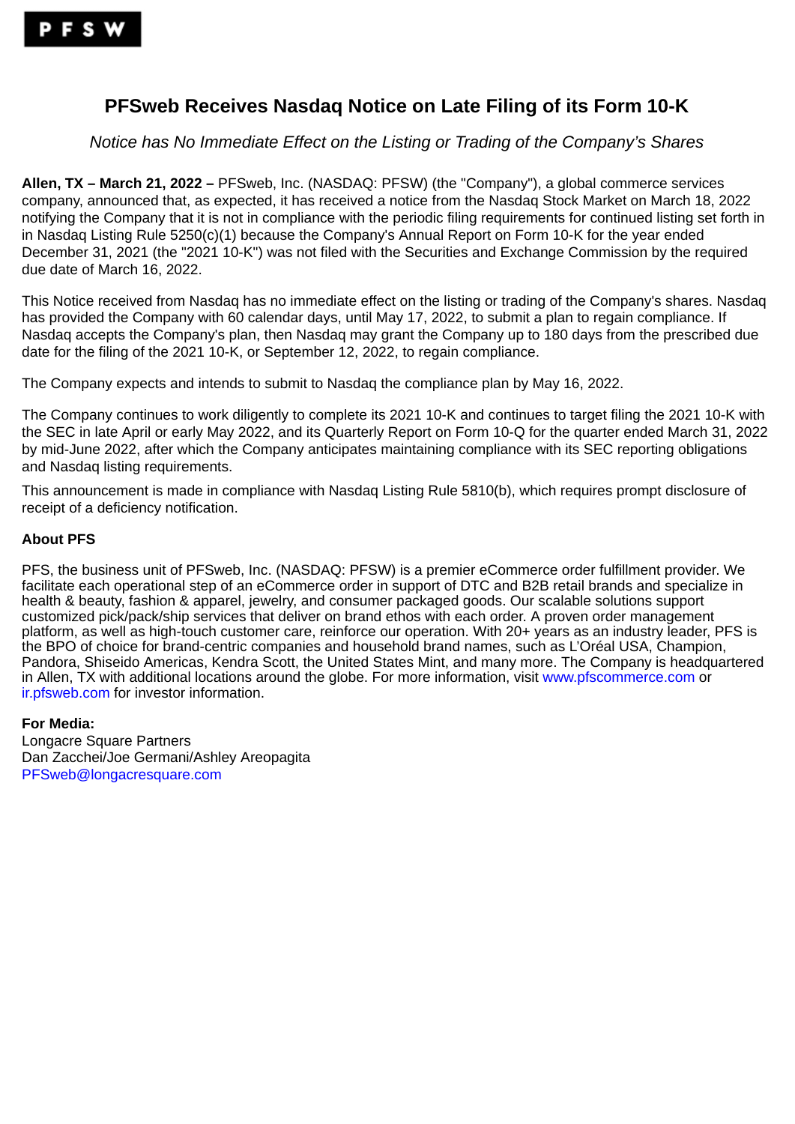## <span id="page-3-0"></span>**PFSweb Receives Nasdaq Notice on Late Filing of its Form 10-K**

*Notice has No Immediate Effect on the Listing or Trading of the Company's Shares*

**Allen, TX – March 21, 2022 –** PFSweb, Inc. (NASDAQ: PFSW) (the "Company"), a global commerce services company, announced that, as expected, it has received a notice from the Nasdaq Stock Market on March 18, 2022 notifying the Company that it is not in compliance with the periodic filing requirements for continued listing set forth in in Nasdaq Listing Rule 5250(c)(1) because the Company's Annual Report on Form 10-K for the year ended December 31, 2021 (the "2021 10-K") was not filed with the Securities and Exchange Commission by the required due date of March 16, 2022.

This Notice received from Nasdaq has no immediate effect on the listing or trading of the Company's shares. Nasdaq has provided the Company with 60 calendar days, until May 17, 2022, to submit a plan to regain compliance. If Nasdaq accepts the Company's plan, then Nasdaq may grant the Company up to 180 days from the prescribed due date for the filing of the 2021 10-K, or September 12, 2022, to regain compliance.

The Company expects and intends to submit to Nasdaq the compliance plan by May 16, 2022.

The Company continues to work diligently to complete its 2021 10-K and continues to target filing the 2021 10-K with the SEC in late April or early May 2022, and its Quarterly Report on Form 10-Q for the quarter ended March 31, 2022 by mid-June 2022, after which the Company anticipates maintaining compliance with its SEC reporting obligations and Nasdaq listing requirements.

This announcement is made in compliance with Nasdaq Listing Rule 5810(b), which requires prompt disclosure of receipt of a deficiency notification.

### **About PFS**

PFS, the business unit of PFSweb, Inc. (NASDAQ: PFSW) is a premier eCommerce order fulfillment provider. We facilitate each operational step of an eCommerce order in support of DTC and B2B retail brands and specialize in health & beauty, fashion & apparel, jewelry, and consumer packaged goods. Our scalable solutions support customized pick/pack/ship services that deliver on brand ethos with each order. A proven order management platform, as well as high-touch customer care, reinforce our operation. With 20+ years as an industry leader, PFS is the BPO of choice for brand-centric companies and household brand names, such as L'Oréal USA, Champion, Pandora, Shiseido Americas, Kendra Scott, the United States Mint, and many more. The Company is headquartered in Allen, TX with additional locations around the globe. For more information, visit www.pfscommerce.com or ir.pfsweb.com for investor information.

### **For Media:**

Longacre Square Partners Dan Zacchei/Joe Germani/Ashley Areopagita PFSweb@longacresquare.com